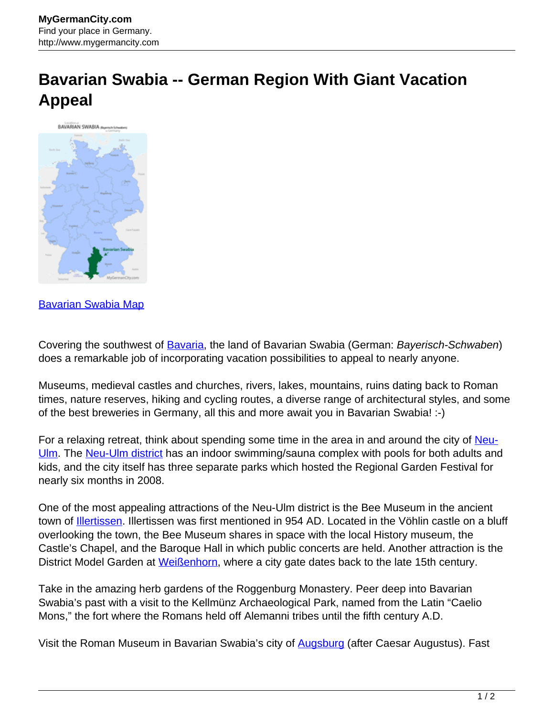## **Bavarian Swabia -- German Region With Giant Vacation Appeal**



## [Bavarian Swabia Map](http://www.mygermancity.com/bavarian-swabia-map)

Covering the southwest of [Bavaria](http://www.mygermancity.com/bavaria), the land of Bavarian Swabia (German: Bayerisch-Schwaben) does a remarkable job of incorporating vacation possibilities to appeal to nearly anyone.

Museums, medieval castles and churches, rivers, lakes, mountains, ruins dating back to Roman times, nature reserves, hiking and cycling routes, a diverse range of architectural styles, and some of the best breweries in Germany, all this and more await you in Bavarian Swabia! :-)

For a relaxing retreat, think about spending some time in the area in and around the city of [Neu-](http://www.mygermancity.com/neu-ulm)[Ulm.](http://www.mygermancity.com/neu-ulm) The [Neu-Ulm district](http://www.mygermancity.com/neu-ulm-district) has an indoor swimming/sauna complex with pools for both adults and kids, and the city itself has three separate parks which hosted the Regional Garden Festival for nearly six months in 2008.

One of the most appealing attractions of the Neu-Ulm district is the Bee Museum in the ancient town of [Illertissen](http://www.mygermancity.com/illertissen). Illertissen was first mentioned in 954 AD. Located in the Vöhlin castle on a bluff overlooking the town, the Bee Museum shares in space with the local History museum, the Castle's Chapel, and the Baroque Hall in which public concerts are held. Another attraction is the District Model Garden at [Weißenhorn,](http://www.mygermancity.com/weissenhorn) where a city gate dates back to the late 15th century.

Take in the amazing herb gardens of the Roggenburg Monastery. Peer deep into Bavarian Swabia's past with a visit to the Kellmünz Archaeological Park, named from the Latin "Caelio Mons," the fort where the Romans held off Alemanni tribes until the fifth century A.D.

Visit the Roman Museum in Bavarian Swabia's city of [Augsburg](http://www.mygermancity.com/augsburg) (after Caesar Augustus). Fast